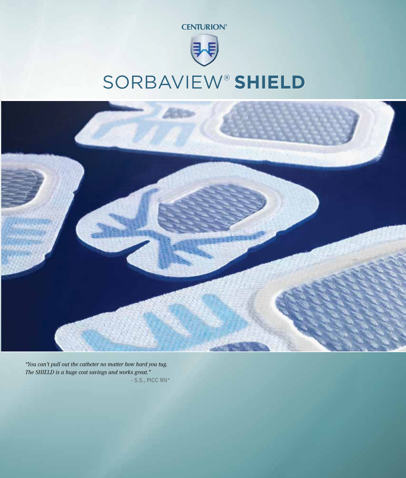



# SorbaView® **SHIELD**



*"You can't pull out the catheter no matter how hard you tug. The SHIELD is a huge cost savings and works great."*  $-S.S.,$  PICC RN\*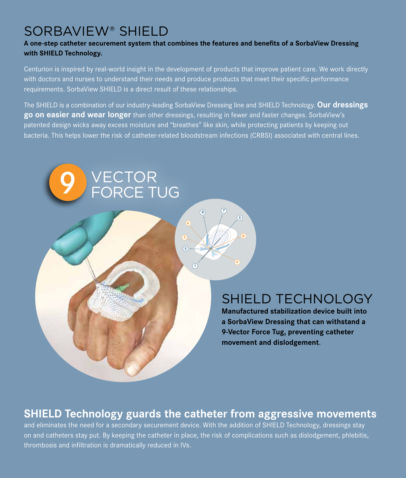# SORBAVIEW® SHIELD

9 VECTOR<br>FORCE TU

### **A one-step catheter securement system that combines the features and benefits of a SorbaView Dressing with SHIELD Technology.**

Centurion is inspired by real-world insight in the development of products that improve patient care. We work directly with doctors and nurses to understand their needs and produce products that meet their specific performance requirements. SorbaView SHIELD is a direct result of these relationships.

The SHIELD is a combination of our industry-leading SorbaView Dressing line and SHIELD Technology. **Our dressings go on easier and wear longer** than other dressings, resulting in fewer and faster changes. SorbaView's patented design wicks away excess moisture and "breathes" like skin, while protecting patients by keeping out bacteria. This helps lower the risk of catheter-related bloodstream infections (CRBSI) associated with central lines.

**1**

**<sup>7</sup> <sup>9</sup>**

**3**

**8**

**4**

**5**

**2**

**6**

SHIELD TECHNOLOGY

**Manufactured stabilization device built into a SorbaView Dressing that can withstand a 9-Vector Force Tug, preventing catheter movement and dislodgement**.

### **SHIELD Technology guards the catheter from aggressive movements**

and eliminates the need for a secondary securement device. With the addition of SHIELD Technology, dressings stay on and catheters stay put. By keeping the catheter in place, the risk of complications such as dislodgement, phlebitis, thrombosis and infiltration is dramatically reduced in IVs.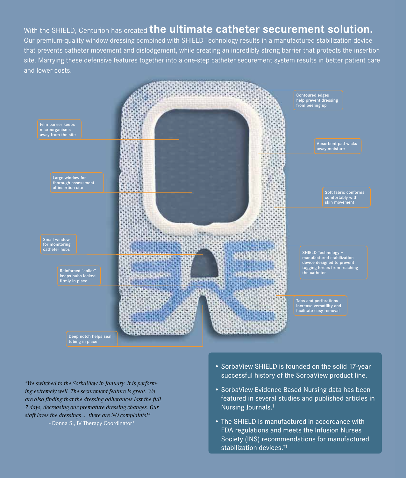### With the SHIELD, Centurion has created **the ultimate catheter securement solution.**

Our premium-quality window dressing combined with SHIELD Technology results in a manufactured stabilization device that prevents catheter movement and dislodgement, while creating an incredibly strong barrier that protects the insertion site. Marrying these defensive features together into a one-step catheter securement system results in better patient care and lower costs.



*"We switched to the SorbaView in January. It is performing extremely well. The securement feature is great. We are also finding that the dressing adherances last the full 7 days, decreasing our premature dressing changes. Our staff loves the dressings ... there are NO complaints!"* - Donna S., IV Therapy Coordinator\*

- SorbaView SHIELD is founded on the solid 17-year successful history of the SorbaView product line.
- SorbaView Evidence Based Nursing data has been featured in several studies and published articles in Nursing Journals.†
- The SHIELD is manufactured in accordance with FDA regulations and meets the Infusion Nurses Society (INS) recommendations for manufactured stabilization devices.††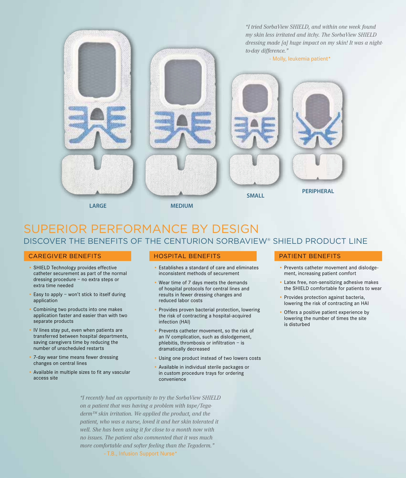

**LARGE MEDIUM**

SUPERIOR PERFORMANCE BY DESIGN DISCOVER THE BENEFITS OF THE CENTURION SORBAVIEW® SHIELD PRODUCT LINE

#### CAREGIVER BENEFITS

- SHIELD Technology provides effective catheter securement as part of the normal dressing procedure – no extra steps or extra time needed
- Easy to apply  $-$  won't stick to itself during application
- Combining two products into one makes application faster and easier than with two separate products
- IV lines stay put, even when patients are transferred between hospital departments, saving caregivers time by reducing the number of unscheduled restarts
- 7-day wear time means fewer dressing changes on central lines
- Available in multiple sizes to fit any vascular access site

#### HOSPITAL BENEFITS

- Establishes a standard of care and eliminates inconsistent methods of securement
- Wear time of 7 days meets the demands of hospital protocols for central lines and results in fewer dressing changes and reduced labor costs
- Provides proven bacterial protection, lowering the risk of contracting a hospital-acquired infection (HAI)
- Prevents catheter movement, so the risk of an IV complication, such as dislodgement, phlebitis, thrombosis or infiltration – is dramatically decreased
- Using one product instead of two lowers costs
- Available in individual sterile packages or in custom procedure trays for ordering convenience

#### PATIENT BENEFITS

- Prevents catheter movement and dislodgement, increasing patient comfort
- Latex free, non-sensitizing adhesive makes the SHIELD comfortable for patients to wear
- Provides protection against bacteria, lowering the risk of contracting an HAI
- Offers a positive patient experience by lowering the number of times the site is disturbed

*"I recently had an opportunity to try the SorbaView SHIELD on a patient that was having a problem with tape/Tegaderm™ skin irritation. We applied the product, and the patient, who was a nurse, loved it and her skin tolerated it well. She has been using it for close to a month now with no issues. The patient also commented that it was much more comfortable and softer feeling than the Tegaderm."* - T.B., Infusion Support Nurse\*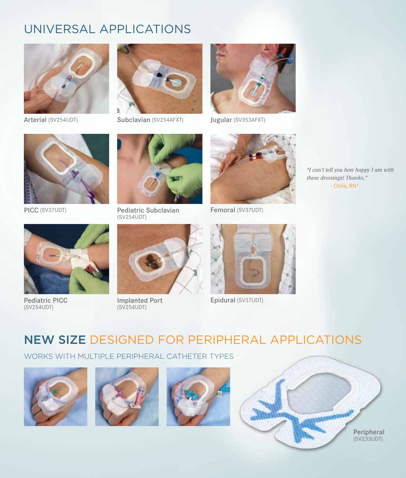# UNIVERSAL APPLICATIONS



Arterial (SV254UDT)



Subclavian (SV254AFXT)



Jugular (SV353AFXT)



PICC (SV37UDT)



Pediatric Subclavian (SV254UDT)



Femoral (SV37UDT)



Pediatric PICC **Implanted Port** Epidural (SV37UDT)

*"I can't tell you how happy I am with these dressings! Thanks."* - Chris, RN\*



(SV254UDT)



Implanted Port (SV254UDT)



# NEW SIZE DESIGNED FOR PERIPHERAL APPLICATIONS

### WORKS WITH MULTIPLE PERIPHERAL CATHETER TYPES







Peripheral (SV233UDT)